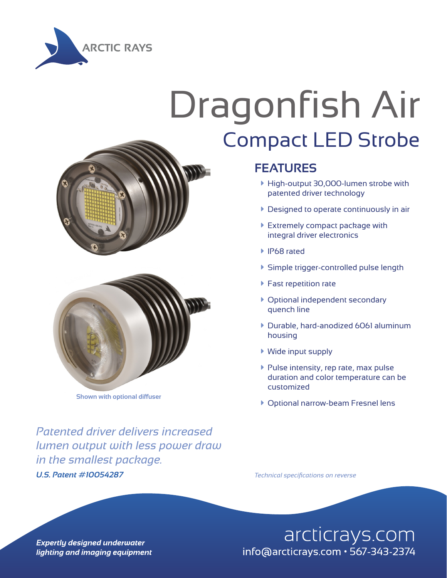

## Dragonfish Air Compact LED Strobe





**Shown with optional diffuser**

*U.S. Patent #10054287 Technical specifications on reverse Patented driver delivers increased lumen output with less power draw in the smallest package.*

## **FEATURES**

- à High-output 30,000-lumen strobe with patented driver technology
- $\blacktriangleright$  Designed to operate continuously in air
- **Extremely compact package with** integral driver electronics
- à IP68 rated
- à Simple trigger-controlled pulse length
- $\blacktriangleright$  Fast repetition rate
- à Optional independent secondary quench line
- à Durable, hard-anodized 6061 aluminum housing
- $\blacktriangleright$  Wide input supply
- $\blacktriangleright$  Pulse intensity, rep rate, max pulse duration and color temperature can be customized
- **Optional narrow-beam Fresnel lens**

arcticrays.com info@arcticrays.com · 567-343-2374

**Expertly designed underwater** lighting and imaging equipment